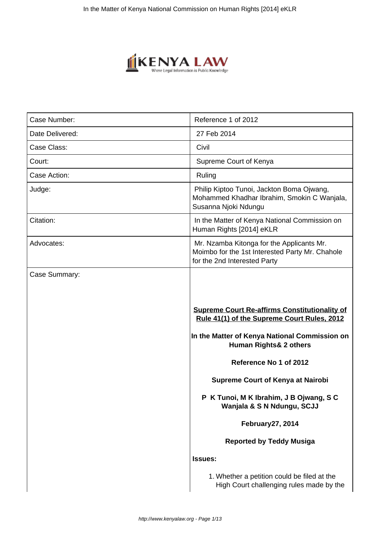

| Case Number:    | Reference 1 of 2012                                                                                                                                                                                                                                                                                                                                                                                                                                                                                           |
|-----------------|---------------------------------------------------------------------------------------------------------------------------------------------------------------------------------------------------------------------------------------------------------------------------------------------------------------------------------------------------------------------------------------------------------------------------------------------------------------------------------------------------------------|
| Date Delivered: | 27 Feb 2014                                                                                                                                                                                                                                                                                                                                                                                                                                                                                                   |
| Case Class:     | Civil                                                                                                                                                                                                                                                                                                                                                                                                                                                                                                         |
| Court:          | Supreme Court of Kenya                                                                                                                                                                                                                                                                                                                                                                                                                                                                                        |
| Case Action:    | Ruling                                                                                                                                                                                                                                                                                                                                                                                                                                                                                                        |
| Judge:          | Philip Kiptoo Tunoi, Jackton Boma Ojwang,<br>Mohammed Khadhar Ibrahim, Smokin C Wanjala,<br>Susanna Njoki Ndungu                                                                                                                                                                                                                                                                                                                                                                                              |
| Citation:       | In the Matter of Kenya National Commission on<br>Human Rights [2014] eKLR                                                                                                                                                                                                                                                                                                                                                                                                                                     |
| Advocates:      | Mr. Nzamba Kitonga for the Applicants Mr.<br>Moimbo for the 1st Interested Party Mr. Chahole<br>for the 2nd Interested Party                                                                                                                                                                                                                                                                                                                                                                                  |
|                 | <b>Supreme Court Re-affirms Constitutionality of</b><br>Rule 41(1) of the Supreme Court Rules, 2012<br>In the Matter of Kenya National Commission on<br><b>Human Rights&amp; 2 others</b><br>Reference No 1 of 2012<br><b>Supreme Court of Kenya at Nairobi</b><br>P K Tunoi, M K Ibrahim, J B Ojwang, S C<br>Wanjala & S N Ndungu, SCJJ<br>February 27, 2014<br><b>Reported by Teddy Musiga</b><br><b>Issues:</b><br>1. Whether a petition could be filed at the<br>High Court challenging rules made by the |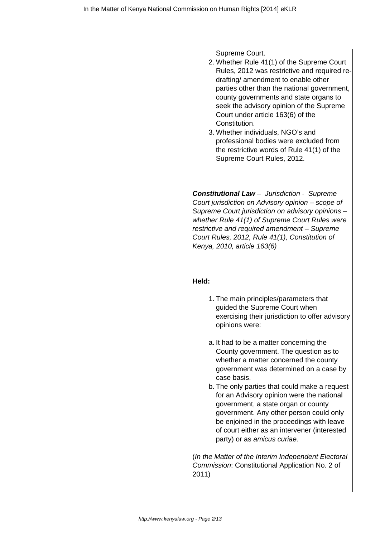Supreme Court.

- 2. Whether Rule 41(1) of the Supreme Court Rules, 2012 was restrictive and required redrafting/ amendment to enable other parties other than the national government, county governments and state organs to seek the advisory opinion of the Supreme Court under article 163(6) of the Constitution.
- 3. Whether individuals, NGO's and professional bodies were excluded from the restrictive words of Rule 41(1) of the Supreme Court Rules, 2012.

**Constitutional Law** – Jurisdiction - Supreme Court jurisdiction on Advisory opinion – scope of Supreme Court jurisdiction on advisory opinions – whether Rule 41(1) of Supreme Court Rules were restrictive and required amendment – Supreme Court Rules, 2012, Rule 41(1), Constitution of Kenya, 2010, article 163(6)

### **Held:**

- 1. The main principles/parameters that guided the Supreme Court when exercising their jurisdiction to offer advisory opinions were:
- a. It had to be a matter concerning the County government. The question as to whether a matter concerned the county government was determined on a case by case basis.
- b. The only parties that could make a request for an Advisory opinion were the national government, a state organ or county government. Any other person could only be enjoined in the proceedings with leave of court either as an intervener (interested party) or as amicus curiae.

(In the Matter of the Interim Independent Electoral Commission: Constitutional Application No. 2 of 2011)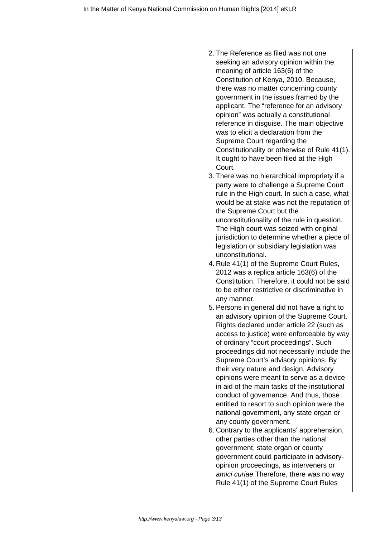- 2. The Reference as filed was not one seeking an advisory opinion within the meaning of article 163(6) of the Constitution of Kenya, 2010. Because, there was no matter concerning county government in the issues framed by the applicant. The "reference for an advisory opinion" was actually a constitutional reference in disguise. The main objective was to elicit a declaration from the Supreme Court regarding the Constitutionality or otherwise of Rule 41(1). It ought to have been filed at the High Court.
- 3. There was no hierarchical impropriety if a party were to challenge a Supreme Court rule in the High court. In such a case, what would be at stake was not the reputation of the Supreme Court but the unconstitutionality of the rule in question. The High court was seized with original jurisdiction to determine whether a piece of legislation or subsidiary legislation was unconstitutional.
- 4. Rule 41(1) of the Supreme Court Rules, 2012 was a replica article 163(6) of the Constitution. Therefore, it could not be said to be either restrictive or discriminative in any manner.
- 5. Persons in general did not have a right to an advisory opinion of the Supreme Court. Rights declared under article 22 (such as access to justice) were enforceable by way of ordinary "court proceedings". Such proceedings did not necessarily include the Supreme Court's advisory opinions. By their very nature and design, Advisory opinions were meant to serve as a device in aid of the main tasks of the institutional conduct of governance. And thus, those entitled to resort to such opinion were the national government, any state organ or any county government.
- 6. Contrary to the applicants' apprehension, other parties other than the national government, state organ or county government could participate in advisoryopinion proceedings, as interveners or amici curiae.Therefore, there was no way Rule 41(1) of the Supreme Court Rules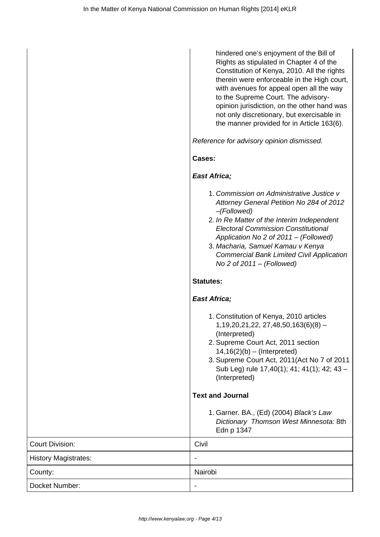|                             | hindered one's enjoyment of the Bill of<br>Rights as stipulated in Chapter 4 of the<br>Constitution of Kenya, 2010. All the rights<br>therein were enforceable in the High court,<br>with avenues for appeal open all the way<br>to the Supreme Court. The advisory-<br>opinion jurisdiction, on the other hand was<br>not only discretionary, but exercisable in<br>the manner provided for in Article 163(6). |
|-----------------------------|-----------------------------------------------------------------------------------------------------------------------------------------------------------------------------------------------------------------------------------------------------------------------------------------------------------------------------------------------------------------------------------------------------------------|
|                             | Reference for advisory opinion dismissed.                                                                                                                                                                                                                                                                                                                                                                       |
|                             | Cases:                                                                                                                                                                                                                                                                                                                                                                                                          |
|                             | <b>East Africa;</b>                                                                                                                                                                                                                                                                                                                                                                                             |
|                             | 1. Commission on Administrative Justice v<br>Attorney General Petition No 284 of 2012<br>$-(Followed)$<br>2. In Re Matter of the Interim Independent<br><b>Electoral Commission Constitutional</b><br>Application No 2 of 2011 - (Followed)<br>3. Macharia, Samuel Kamau v Kenya<br><b>Commercial Bank Limited Civil Application</b><br>No 2 of $2011 - (Followed)$                                             |
|                             | <b>Statutes:</b>                                                                                                                                                                                                                                                                                                                                                                                                |
|                             | <b>East Africa;</b>                                                                                                                                                                                                                                                                                                                                                                                             |
|                             | 1. Constitution of Kenya, 2010 articles<br>$1,19,20,21,22,27,48,50,163(6)(8)$ -<br>(Interpreted)<br>2. Supreme Court Act, 2011 section<br>$14,16(2)(b) - (Interpreted)$<br>3. Supreme Court Act, 2011(Act No 7 of 2011<br>Sub Leg) rule 17,40(1); 41; 41(1); 42; 43 -<br>(Interpreted)                                                                                                                          |
|                             | <b>Text and Journal</b>                                                                                                                                                                                                                                                                                                                                                                                         |
|                             | 1. Garner. BA., (Ed) (2004) Black's Law<br>Dictionary Thomson West Minnesota: 8th<br>Edn p 1347                                                                                                                                                                                                                                                                                                                 |
| <b>Court Division:</b>      | Civil                                                                                                                                                                                                                                                                                                                                                                                                           |
| <b>History Magistrates:</b> |                                                                                                                                                                                                                                                                                                                                                                                                                 |
| County:                     | Nairobi                                                                                                                                                                                                                                                                                                                                                                                                         |
| Docket Number:              |                                                                                                                                                                                                                                                                                                                                                                                                                 |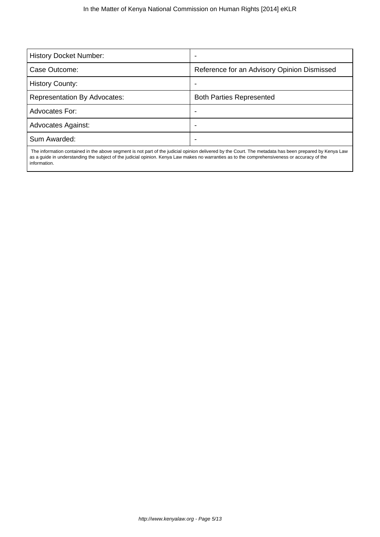| <b>History Docket Number:</b>       | $\,$                                        |
|-------------------------------------|---------------------------------------------|
| Case Outcome:                       | Reference for an Advisory Opinion Dismissed |
| <b>History County:</b>              |                                             |
| <b>Representation By Advocates:</b> | <b>Both Parties Represented</b>             |
| Advocates For:                      |                                             |
| <b>Advocates Against:</b>           | -                                           |
| Sum Awarded:                        |                                             |
|                                     |                                             |

 The information contained in the above segment is not part of the judicial opinion delivered by the Court. The metadata has been prepared by Kenya Law as a guide in understanding the subject of the judicial opinion. Kenya Law makes no warranties as to the comprehensiveness or accuracy of the information.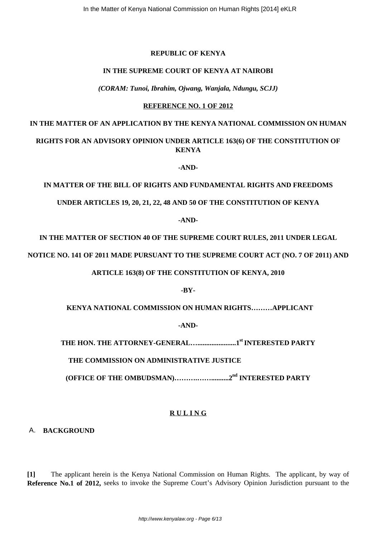#### **REPUBLIC OF KENYA**

#### **IN THE SUPREME COURT OF KENYA AT NAIROBI**

*(CORAM: Tunoi, Ibrahim, Ojwang, Wanjala, Ndungu, SCJJ)*

#### **REFERENCE NO. 1 OF 2012**

## **IN THE MATTER OF AN APPLICATION BY THE KENYA NATIONAL COMMISSION ON HUMAN**

## **RIGHTS FOR AN ADVISORY OPINION UNDER ARTICLE 163(6) OF THE CONSTITUTION OF KENYA**

**-AND-**

**IN MATTER OF THE BILL OF RIGHTS AND FUNDAMENTAL RIGHTS AND FREEDOMS**

**UNDER ARTICLES 19, 20, 21, 22, 48 AND 50 OF THE CONSTITUTION OF KENYA**

**-AND-**

**IN THE MATTER OF SECTION 40 OF THE SUPREME COURT RULES, 2011 UNDER LEGAL**

**NOTICE NO. 141 OF 2011 MADE PURSUANT TO THE SUPREME COURT ACT (NO. 7 OF 2011) AND**

**ARTICLE 163(8) OF THE CONSTITUTION OF KENYA, 2010**

**-BY-**

 **KENYA NATIONAL COMMISSION ON HUMAN RIGHTS………APPLICANT**

**-AND-**

**THE HON. THE ATTORNEY-GENERAL…......................1st INTERESTED PARTY**

 **THE COMMISSION ON ADMINISTRATIVE JUSTICE**

**(OFFICE OF THE OMBUDSMAN)……….……..........2nd INTERESTED PARTY**

### **R U L I N G**

A. **BACKGROUND**

**[1]** The applicant herein is the Kenya National Commission on Human Rights. The applicant, by way of **Reference No.1 of 2012,** seeks to invoke the Supreme Court's Advisory Opinion Jurisdiction pursuant to the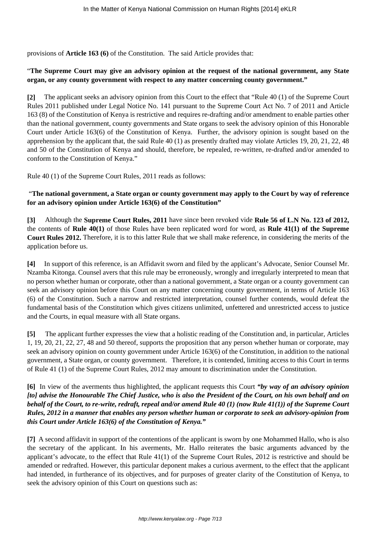provisions of **Article 163 (6)** of the Constitution. The said Article provides that:

## "**The Supreme Court may give an advisory opinion at the request of the national government, any State organ, or any county government with respect to any matter concerning county government."**

**[2]** The applicant seeks an advisory opinion from this Court to the effect that "Rule 40 (1) of the Supreme Court Rules 2011 published under Legal Notice No. 141 pursuant to the Supreme Court Act No. 7 of 2011 and Article 163 (8) of the Constitution of Kenya is restrictive and requires re-drafting and/or amendment to enable parties other than the national government, county governments and State organs to seek the advisory opinion of this Honorable Court under Article 163(6) of the Constitution of Kenya. Further, the advisory opinion is sought based on the apprehension by the applicant that, the said Rule 40 (1) as presently drafted may violate Articles 19, 20, 21, 22, 48 and 50 of the Constitution of Kenya and should, therefore, be repealed, re-written, re-drafted and/or amended to conform to the Constitution of Kenya."

Rule 40 (1) of the Supreme Court Rules, 2011 reads as follows:

### "**The national government, a State organ or county government may apply to the Court by way of reference for an advisory opinion under Article 163(6) of the Constitution"**

**[3]** Although the **Supreme Court Rules, 2011** have since been revoked vide **Rule 56 of L.N No. 123 of 2012,** the contents of **Rule 40(1)** of those Rules have been replicated word for word, as **Rule 41(1) of the Supreme Court Rules 2012.** Therefore, it is to this latter Rule that we shall make reference, in considering the merits of the application before us.

**[4]** In support of this reference, is an Affidavit sworn and filed by the applicant's Advocate, Senior Counsel Mr. Nzamba Kitonga. Counsel avers that this rule may be erroneously, wrongly and irregularly interpreted to mean that no person whether human or corporate, other than a national government, a State organ or a county government can seek an advisory opinion before this Court on any matter concerning county government, in terms of Article 163 (6) of the Constitution. Such a narrow and restricted interpretation, counsel further contends, would defeat the fundamental basis of the Constitution which gives citizens unlimited, unfettered and unrestricted access to justice and the Courts, in equal measure with all State organs.

**[5]** The applicant further expresses the view that a holistic reading of the Constitution and, in particular, Articles 1, 19, 20, 21, 22, 27, 48 and 50 thereof, supports the proposition that any person whether human or corporate, may seek an advisory opinion on county government under Article 163(6) of the Constitution, in addition to the national government, a State organ, or county government. Therefore, it is contended, limiting access to this Court in terms of Rule 41 (1) of the Supreme Court Rules, 2012 may amount to discrimination under the Constitution.

## **[6]** In view of the averments thus highlighted, the applicant requests this Court *"by way of an advisory opinion [to] advise the Honourable The Chief Justice, who is also the President of the Court, on his own behalf and on behalf of the Court, to re-write, redraft, repeal and/or amend Rule 40 (1) (now Rule 41(1)) of the Supreme Court Rules, 2012 in a manner that enables any person whether human or corporate to seek an advisory-opinion from this Court under Article 163(6) of the Constitution of Kenya."*

**[7]** A second affidavit in support of the contentions of the applicant is sworn by one Mohammed Hallo, who is also the secretary of the applicant. In his averments, Mr. Hallo reiterates the basic arguments advanced by the applicant's advocate, to the effect that Rule 41(1) of the Supreme Court Rules, 2012 is restrictive and should be amended or redrafted. However, this particular deponent makes a curious averment, to the effect that the applicant had intended, in furtherance of its objectives, and for purposes of greater clarity of the Constitution of Kenya, to seek the advisory opinion of this Court on questions such as: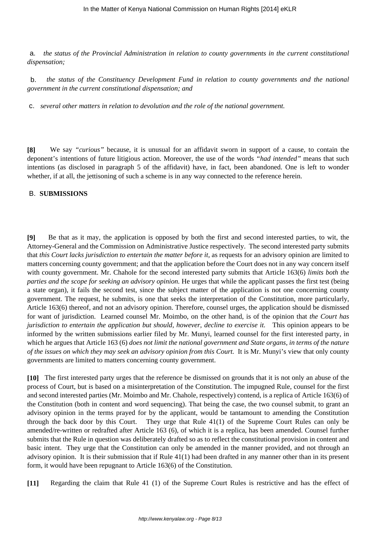a. *the status of the Provincial Administration in relation to county governments in the current constitutional dispensation;*

b. *the status of the Constituency Development Fund in relation to county governments and the national government in the current constitutional dispensation; and*

c. *several other matters in relation to devolution and the role of the national government.*

**[8]** We say *"curious"* because, it is unusual for an affidavit sworn in support of a cause, to contain the deponent's intentions of future litigious action. Moreover, the use of the words *"had intended"* means that such intentions (as disclosed in paragraph 5 of the affidavit) have, in fact, been abandoned. One is left to wonder whether, if at all, the jettisoning of such a scheme is in any way connected to the reference herein.

#### B. **SUBMISSIONS**

**[9]** Be that as it may, the application is opposed by both the first and second interested parties, to wit, the Attorney-General and the Commission on Administrative Justice respectively. The second interested party submits that *this Court lacks jurisdiction to entertain the matter before it,* as requests for an advisory opinion are limited to matters concerning county government; and that the application before the Court does not in any way concern itself with county government. Mr. Chahole for the second interested party submits that Article 163(6) *limits both the parties and the scope for seeking an advisory opinion.* He urges that while the applicant passes the first test (being a state organ), it fails the second test, since the subject matter of the application is not one concerning county government. The request, he submits, is one that seeks the interpretation of the Constitution, more particularly, Article 163(6) thereof, and not an advisory opinion. Therefore, counsel urges, the application should be dismissed for want of jurisdiction. Learned counsel Mr. Moimbo, on the other hand, is of the opinion that *the Court has jurisdiction to entertain the application but should, however, decline to exercise it.* This opinion appears to be informed by the written submissions earlier filed by Mr. Munyi, learned counsel for the first interested party, in which he argues that Article 163 (6) *does not limit the national government and State organs, in terms of the nature of the issues on which they may seek an advisory opinion from this Court.* It is Mr. Munyi's view that only county governments are limited to matters concerning county government.

**[10]** The first interested party urges that the reference be dismissed on grounds that it is not only an abuse of the process of Court, but is based on a misinterpretation of the Constitution. The impugned Rule, counsel for the first and second interested parties (Mr. Moimbo and Mr. Chahole, respectively) contend, is a replica of Article 163(6) of the Constitution (both in content and word sequencing). That being the case, the two counsel submit, to grant an advisory opinion in the terms prayed for by the applicant, would be tantamount to amending the Constitution through the back door by this Court. They urge that Rule 41(1) of the Supreme Court Rules can only be amended/re-written or redrafted after Article 163 (6), of which it is a replica, has been amended. Counsel further submits that the Rule in question was deliberately drafted so as to reflect the constitutional provision in content and basic intent. They urge that the Constitution can only be amended in the manner provided, and not through an advisory opinion. It is their submission that if Rule 41(1) had been drafted in any manner other than in its present form, it would have been repugnant to Article 163(6) of the Constitution.

**[11]** Regarding the claim that Rule 41 (1) of the Supreme Court Rules is restrictive and has the effect of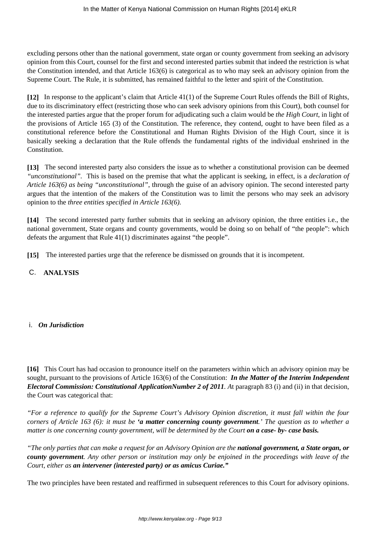excluding persons other than the national government, state organ or county government from seeking an advisory opinion from this Court, counsel for the first and second interested parties submit that indeed the restriction is what the Constitution intended, and that Article 163(6) is categorical as to who may seek an advisory opinion from the Supreme Court. The Rule, it is submitted, has remained faithful to the letter and spirit of the Constitution.

**[12]** In response to the applicant's claim that Article 41(1) of the Supreme Court Rules offends the Bill of Rights, due to its discriminatory effect (restricting those who can seek advisory opinions from this Court), both counsel for the interested parties argue that the proper forum for adjudicating such a claim would be *the High Court*, in light of the provisions of Article 165 (3) of the Constitution. The reference, they contend, ought to have been filed as a constitutional reference before the Constitutional and Human Rights Division of the High Court, since it is basically seeking a declaration that the Rule offends the fundamental rights of the individual enshrined in the Constitution.

**[13]** The second interested party also considers the issue as to whether a constitutional provision can be deemed *"unconstitutional".* This is based on the premise that what the applicant is seeking, in effect, is a *declaration of Article 163(6) as being "unconstitutional"*, through the guise of an advisory opinion. The second interested party argues that the intention of the makers of the Constitution was to limit the persons who may seek an advisory opinion to the *three entities specified in Article 163(6).*

**[14]** The second interested party further submits that in seeking an advisory opinion, the three entities i.e., the national government, State organs and county governments, would be doing so on behalf of "the people": which defeats the argument that Rule 41(1) discriminates against "the people".

**[15]** The interested parties urge that the reference be dismissed on grounds that it is incompetent.

C. **ANALYSIS**

i. *On Jurisdiction*

**[16]** This Court has had occasion to pronounce itself on the parameters within which an advisory opinion may be sought, pursuant to the provisions of Article 163(6) of the Constitution: *In the Matter of the Interim Independent Electoral Commission: Constitutional ApplicationNumber 2 of 2011. A*t paragraph 83 (i) and (ii) in that decision, the Court was categorical that:

*"For a reference to qualify for the Supreme Court's Advisory Opinion discretion, it must fall within the four corners of Article 163 (6): it must be 'a matter concerning county government.' The question as to whether a matter is one concerning county government, will be determined by the Court on a case- by- case basis.* 

*"The only parties that can make a request for an Advisory Opinion are the national government, a State organ, or county government. Any other person or institution may only be enjoined in the proceedings with leave of the Court, either as an intervener (interested party) or as amicus Curiae."*

The two principles have been restated and reaffirmed in subsequent references to this Court for advisory opinions.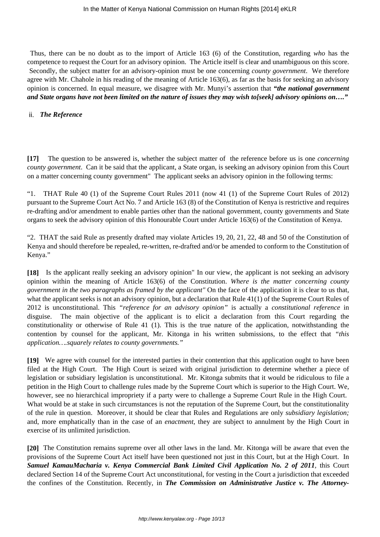Thus, there can be no doubt as to the import of Article 163 (6) of the Constitution, regarding *who* has the competence to request the Court for an advisory opinion. The Article itself is clear and unambiguous on this score. Secondly, the subject matter for an advisory-opinion must be one concerning *county government*. We therefore agree with Mr. Chahole in his reading of the meaning of Article 163(6), as far as the basis for seeking an advisory opinion is concerned. In equal measure, we disagree with Mr. Munyi's assertion that *"the national government and State organs have not been limited on the nature of issues they may wish to[seek] advisory opinions on…."*

#### ii. *The Reference*

**[17]** The question to be answered is, whether the subject matter of the reference before us is one *concerning county government*. Can it be said that the applicant, a State organ, is seeking an advisory opinion from this Court on a matter concerning county government" The applicant seeks an advisory opinion in the following terms:

"1. THAT Rule 40 (1) of the Supreme Court Rules 2011 (now 41 (1) of the Supreme Court Rules of 2012) pursuant to the Supreme Court Act No. 7 and Article 163 (8) of the Constitution of Kenya is restrictive and requires re-drafting and/or amendment to enable parties other than the national government, county governments and State organs to seek the advisory opinion of this Honourable Court under Article 163(6) of the Constitution of Kenya.

"2. THAT the said Rule as presently drafted may violate Articles 19, 20, 21, 22, 48 and 50 of the Constitution of Kenya and should therefore be repealed, re-written, re-drafted and/or be amended to conform to the Constitution of Kenya."

**[18]** Is the applicant really seeking an advisory opinion" In our view, the applicant is not seeking an advisory opinion within the meaning of Article 163(6) of the Constitution. *Where is the matter concerning county government in the two paragraphs as framed by the applicant"* On the face of the application it is clear to us that, what the applicant seeks is not an advisory opinion, but a declaration that Rule 41(1) of the Supreme Court Rules of 2012 is unconstitutional. This *"reference for an advisory opinion"* is actually a *constitutional reference* in disguise. The main objective of the applicant is to elicit a declaration from this Court regarding the constitutionality or otherwise of Rule 41 (1). This is the true nature of the application, notwithstanding the contention by counsel for the applicant, Mr. Kitonga in his written submissions, to the effect that *"this application….squarely relates to county governments."*

**[19]** We agree with counsel for the interested parties in their contention that this application ought to have been filed at the High Court. The High Court is seized with original jurisdiction to determine whether a piece of legislation or subsidiary legislation is unconstitutional. Mr. Kitonga submits that it would be ridiculous to file a petition in the High Court to challenge rules made by the Supreme Court which is superior to the High Court. We, however, see no hierarchical impropriety if a party were to challenge a Supreme Court Rule in the High Court. What would be at stake in such circumstances is not the reputation of the Supreme Court, but the constitutionality of the rule in question. Moreover, it should be clear that Rules and Regulations are only *subsidiary legislation;* and, more emphatically than in the case of an *enactment,* they are subject to annulment by the High Court in exercise of its unlimited jurisdiction.

**[20]** The Constitution remains supreme over all other laws in the land. Mr. Kitonga will be aware that even the provisions of the Supreme Court Act itself have been questioned not just in this Court, but at the High Court. In *Samuel KamauMacharia v. Kenya Commercial Bank Limited Civil Application No. 2 of 2011,* this Court declared Section 14 of the Supreme Court Act unconstitutional, for vesting in the Court a jurisdiction that exceeded the confines of the Constitution. Recently, in *The Commission on Administrative Justice v. The Attorney-*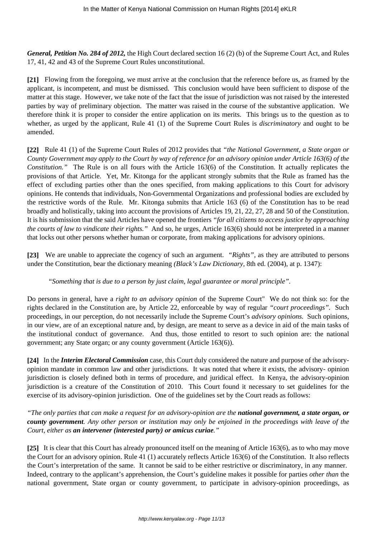*General, Petition No. 284 of 2012,* the High Court declared section 16 (2) (b) of the Supreme Court Act, and Rules 17, 41, 42 and 43 of the Supreme Court Rules unconstitutional.

**[21]** Flowing from the foregoing, we must arrive at the conclusion that the reference before us, as framed by the applicant, is incompetent, and must be dismissed. This conclusion would have been sufficient to dispose of the matter at this stage. However, we take note of the fact that the issue of jurisdiction was not raised by the interested parties by way of preliminary objection. The matter was raised in the course of the substantive application. We therefore think it is proper to consider the entire application on its merits. This brings us to the question as to whether, as urged by the applicant, Rule 41 (1) of the Supreme Court Rules is *discriminatory* and ought to be amended.

**[22]** Rule 41 (1) of the Supreme Court Rules of 2012 provides that *"the National Government, a State organ or County Government may apply to the Court by way of reference for an advisory opinion under Article 163(6) of the Constitution.*" The Rule is on all fours with the Article 163(6) of the Constitution. It actually replicates the provisions of that Article. Yet, Mr. Kitonga for the applicant strongly submits that the Rule as framed has the effect of excluding parties other than the ones specified, from making applications to this Court for advisory opinions. He contends that individuals, Non-Governmental Organizations and professional bodies are excluded by the restrictive words of the Rule. Mr. Kitonga submits that Article 163 (6) of the Constitution has to be read broadly and holistically, taking into account the provisions of Articles 19, 21, 22, 27, 28 and 50 of the Constitution. It is his submission that the said Articles have opened the frontiers *"for all citizens to access justice by approaching the courts of law to vindicate their rights."* And so, he urges, Article 163(6) should not be interpreted in a manner that locks out other persons whether human or corporate, from making applications for advisory opinions.

**[23]** We are unable to appreciate the cogency of such an argument. *"Rights",* as they are attributed to persons under the Constitution, bear the dictionary meaning *(Black's Law Dictionary,* 8th ed. (2004), at p. 1347):

### *"Something that is due to a person by just claim, legal guarantee or moral principle".*

Do persons in general, have a *right to an advisory opinion* of the Supreme Court" We do not think so: for the rights declared in the Constitution are, by Article 22, enforceable by way of regular *"court proceedings".* Such proceedings, in our perception, do not necessarily include the Supreme Court's *advisory opinions.* Such opinions, in our view, are of an exceptional nature and, by design, are meant to serve as a device in aid of the main tasks of the institutional conduct of governance. And thus, those entitled to resort to such opinion are: the national government; any State organ; or any county government (Article 163(6)).

**[24]** In the *Interim Electoral Commission* case, this Court duly considered the nature and purpose of the advisoryopinion mandate in common law and other jurisdictions. It was noted that where it exists, the advisory- opinion jurisdiction is closely defined both in terms of procedure, and juridical effect. In Kenya, the advisory-opinion jurisdiction is a creature of the Constitution of 2010. This Court found it necessary to set guidelines for the exercise of its advisory-opinion jurisdiction. One of the guidelines set by the Court reads as follows:

*"The only parties that can make a request for an advisory-opinion are the national government, a state organ, or county government. Any other person or institution may only be enjoined in the proceedings with leave of the Court, either as an intervener (interested party) or amicus curiae."*

**[25]** It is clear that this Court has already pronounced itself on the meaning of Article 163(6), as to who may move the Court for an advisory opinion. Rule 41 (1) accurately reflects Article 163(6) of the Constitution. It also reflects the Court's interpretation of the same. It cannot be said to be either restrictive or discriminatory, in any manner. Indeed, contrary to the applicant's apprehension, the Court's guideline makes it possible for parties *other than* the national government, State organ or county government, to participate in advisory-opinion proceedings, as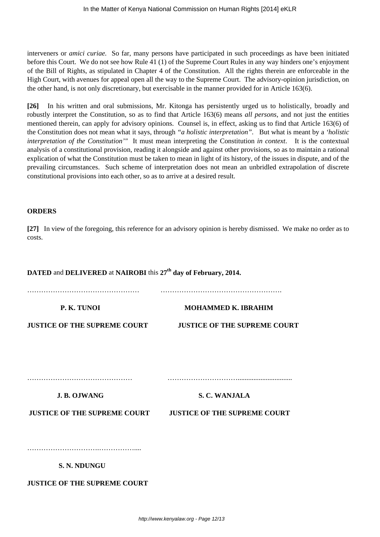interveners or *amici curiae.* So far, many persons have participated in such proceedings as have been initiated before this Court. We do not see how Rule 41 (1) of the Supreme Court Rules in any way hinders one's enjoyment of the Bill of Rights, as stipulated in Chapter 4 of the Constitution. All the rights therein are enforceable in the High Court, with avenues for appeal open all the way to the Supreme Court. The advisory-opinion jurisdiction, on the other hand, is not only discretionary, but exercisable in the manner provided for in Article 163(6).

**[26]** In his written and oral submissions, Mr. Kitonga has persistently urged us to holistically, broadly and robustly interpret the Constitution, so as to find that Article 163(6) means *all persons*, and not just the entities mentioned therein, can apply for advisory opinions. Counsel is, in effect, asking us to find that Article 163(6) of the Constitution does not mean what it says, through *"a holistic interpretation".* But what is meant by a *'holistic interpretation of the Constitution'"* It must mean interpreting the Constitution *in context*. It is the contextual analysis of a constitutional provision, reading it alongside and against other provisions, so as to maintain a rational explication of what the Constitution must be taken to mean in light of its history, of the issues in dispute, and of the prevailing circumstances. Such scheme of interpretation does not mean an unbridled extrapolation of discrete constitutional provisions into each other, so as to arrive at a desired result.

#### **ORDERS**

**[27]** In view of the foregoing, this reference for an advisory opinion is hereby dismissed. We make no order as to costs.

## **DATED** and **DELIVERED** at **NAIROBI** this **27th day of February, 2014.**

………………………………………… …………………………………………….

**P. K. TUNOI MOHAMMED K. IBRAHIM** 

**JUSTICE OF THE SUPREME COURT JUSTICE OF THE SUPREME COURT**

……………………………………… …………………………...............................

**I. B. OJWANG S. C. WANJALA** 

**JUSTICE OF THE SUPREME COURT JUSTICE OF THE SUPREME COURT**

………………………………………………

 **S. N. NDUNGU**

**JUSTICE OF THE SUPREME COURT**